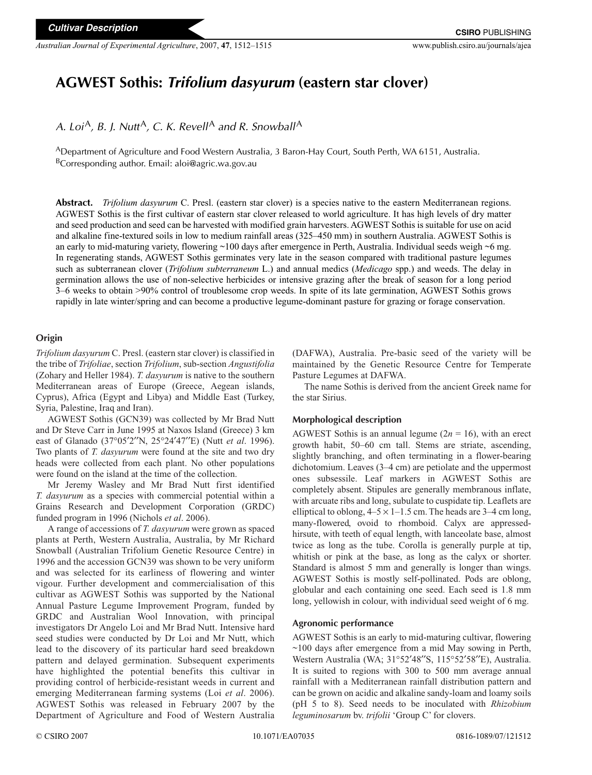*Australian Journal of Experimental Agriculture*, 2007, **47**, 1512–1515 www.publish.csiro.au/journals/ajea

# **AGWEST Sothis:** *Trifolium dasyurum* **(eastern star clover)**

*A. Loi*<sup>A</sup>, *B. J. Nutt*<sup>A</sup>, *C. K. Revell*<sup>A</sup> *and R. Snowball*<sup>A</sup>

ADepartment of Agriculture and Food Western Australia, 3 Baron-Hay Court, South Perth, WA 6151, Australia.  $B$ Corresponding author. Email: aloi@agric.wa.gov.au

**Abstract.** *Trifolium dasyurum* C. Presl. (eastern star clover) is a species native to the eastern Mediterranean regions. AGWEST Sothis is the first cultivar of eastern star clover released to world agriculture. It has high levels of dry matter and seed production and seed can be harvested with modified grain harvesters. AGWEST Sothis is suitable for use on acid and alkaline fine-textured soils in low to medium rainfall areas (325–450 mm) in southern Australia. AGWEST Sothis is an early to mid-maturing variety, flowering ~100 days after emergence in Perth, Australia. Individual seeds weigh ~6 mg. In regenerating stands, AGWEST Sothis germinates very late in the season compared with traditional pasture legumes such as subterranean clover (*Trifolium subterraneum* L.) and annual medics (*Medicago* spp.) and weeds. The delay in germination allows the use of non-selective herbicides or intensive grazing after the break of season for a long period 3–6 weeks to obtain >90% control of troublesome crop weeds. In spite of its late germination, AGWEST Sothis grows rapidly in late winter/spring and can become a productive legume-dominant pasture for grazing or forage conservation.

# **Origin**

*Trifolium dasyurum* C. Presl. (eastern star clover) is classified in the tribe of *Trifoliae*, section *Trifolium*, sub-section *Angustifolia* (Zohary and Heller 1984). *T. dasyurum* is native to the southern Mediterranean areas of Europe (Greece, Aegean islands, Cyprus), Africa (Egypt and Libya) and Middle East (Turkey, Syria, Palestine, Iraq and Iran).

AGWEST Sothis (GCN39) was collected by Mr Brad Nutt and Dr Steve Carr in June 1995 at Naxos Island (Greece) 3 km east of Glanado (37°05′2′′N, 25°24′47′′E) (Nutt *et al*. 1996). Two plants of *T. dasyurum* were found at the site and two dry heads were collected from each plant. No other populations were found on the island at the time of the collection.

Mr Jeremy Wasley and Mr Brad Nutt first identified *T. dasyurum* as a species with commercial potential within a Grains Research and Development Corporation (GRDC) funded program in 1996 (Nichols *et al*. 2006).

A range of accessions of *T. dasyurum* were grown as spaced plants at Perth, Western Australia, Australia, by Mr Richard Snowball (Australian Trifolium Genetic Resource Centre) in 1996 and the accession GCN39 was shown to be very uniform and was selected for its earliness of flowering and winter vigour. Further development and commercialisation of this cultivar as AGWEST Sothis was supported by the National Annual Pasture Legume Improvement Program, funded by GRDC and Australian Wool Innovation, with principal investigators Dr Angelo Loi and Mr Brad Nutt. Intensive hard seed studies were conducted by Dr Loi and Mr Nutt, which lead to the discovery of its particular hard seed breakdown pattern and delayed germination. Subsequent experiments have highlighted the potential benefits this cultivar in providing control of herbicide-resistant weeds in current and emerging Mediterranean farming systems (Loi *et al*. 2006). AGWEST Sothis was released in February 2007 by the Department of Agriculture and Food of Western Australia

(DAFWA), Australia. Pre-basic seed of the variety will be maintained by the Genetic Resource Centre for Temperate Pasture Legumes at DAFWA.

The name Sothis is derived from the ancient Greek name for the star Sirius.

#### **Morphological description**

AGWEST Sothis is an annual legume  $(2n = 16)$ , with an erect growth habit, 50–60 cm tall. Stems are striate, ascending, slightly branching, and often terminating in a flower-bearing dichotomium. Leaves (3–4 cm) are petiolate and the uppermost ones subsessile. Leaf markers in AGWEST Sothis are completely absent. Stipules are generally membranous inflate, with arcuate ribs and long, subulate to cuspidate tip. Leaflets are elliptical to oblong,  $4-5 \times 1-1.5$  cm. The heads are  $3-4$  cm long, many-flowered, ovoid to rhomboid. Calyx are appressedhirsute, with teeth of equal length, with lanceolate base, almost twice as long as the tube. Corolla is generally purple at tip, whitish or pink at the base, as long as the calyx or shorter. Standard is almost 5 mm and generally is longer than wings. AGWEST Sothis is mostly self-pollinated. Pods are oblong, globular and each containing one seed. Each seed is 1.8 mm long, yellowish in colour, with individual seed weight of 6 mg.

#### **Agronomic performance**

AGWEST Sothis is an early to mid-maturing cultivar, flowering  $\sim$ 100 days after emergence from a mid May sowing in Perth, Western Australia (WA; 31°52′48′′S, 115°52′58′′E), Australia. It is suited to regions with 300 to 500 mm average annual rainfall with a Mediterranean rainfall distribution pattern and can be grown on acidic and alkaline sandy-loam and loamy soils (pH 5 to 8). Seed needs to be inoculated with *Rhizobium leguminosarum* bv. *trifolii* 'Group C' for clovers.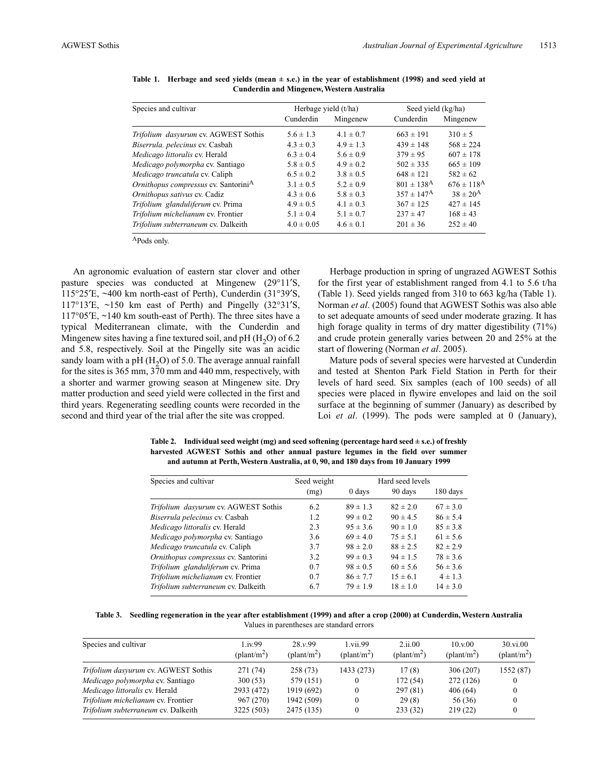| Species and cultivar                             |                | Herbage yield (t/ha) | Seed yield (kg/ha)         |                            |  |
|--------------------------------------------------|----------------|----------------------|----------------------------|----------------------------|--|
|                                                  | Cunderdin      | Mingenew             | Cunderdin                  | Mingenew                   |  |
| Trifolium dasyurum cv. AGWEST Sothis             | $5.6 \pm 1.3$  | $4.1 \pm 0.7$        | $663 \pm 191$              | $310 \pm 5$                |  |
| Biserrula. pelecinus cv. Casbah                  | $4.3 \pm 0.3$  | $4.9 \pm 1.3$        | $439 \pm 148$              | $568 \pm 224$              |  |
| Medicago littoralis cv. Herald                   | $6.3 \pm 0.4$  | $5.6 \pm 0.9$        | $379 \pm 95$               | $607 \pm 178$              |  |
| Medicago polymorpha cv. Santiago                 | $5.8 \pm 0.5$  | $4.9 \pm 0.2$        | $502 \pm 335$              | $665 \pm 109$              |  |
| Medicago truncatula cv. Caliph                   | $6.5 \pm 0.2$  | $3.8 \pm 0.5$        | $648 \pm 121$              | $582 \pm 62$               |  |
| Ornithopus compressus cv. Santorini <sup>A</sup> | $3.1 \pm 0.5$  | $5.2 \pm 0.9$        | $801 \pm 138$ <sup>A</sup> | $676 \pm 118$ <sup>A</sup> |  |
| Ornithopus sativus cv. Cadiz                     | $4.3 \pm 0.6$  | $5.8 \pm 0.3$        | $357 \pm 147^{\rm A}$      | $38 \pm 20^{A}$            |  |
| Trifolium glanduliferum cv. Prima                | $4.9 \pm 0.5$  | $4.1 \pm 0.3$        | $367 \pm 125$              | $427 \pm 145$              |  |
| Trifolium michelianum cv. Frontier               | $5.1 \pm 0.4$  | $5.1 \pm 0.7$        | $237 \pm 47$               | $168 \pm 43$               |  |
| Trifolium subterraneum cv. Dalkeith              | $4.0 \pm 0.05$ | $4.6 \pm 0.1$        | $201 \pm 36$               | $252 \pm 40$               |  |

**Table 1. Herbage and seed yields (mean ± s.e.) in the year of establishment (1998) and seed yield at Cunderdin and Mingenew, Western Australia**

APods only.

An agronomic evaluation of eastern star clover and other pasture species was conducted at Mingenew (29°11′S, 115°25′E, ~400 km north-east of Perth), Cunderdin (31°39′S, 117°13′E, ~150 km east of Perth) and Pingelly (32°31′S, 117°05′E, ~140 km south-east of Perth). The three sites have a typical Mediterranean climate, with the Cunderdin and Mingenew sites having a fine textured soil, and  $pH(H<sub>2</sub>O)$  of 6.2 and 5.8, respectively. Soil at the Pingelly site was an acidic sandy loam with a pH  $(H<sub>2</sub>O)$  of 5.0. The average annual rainfall for the sites is 365 mm, 370 mm and 440 mm, respectively, with a shorter and warmer growing season at Mingenew site. Dry matter production and seed yield were collected in the first and third years. Regenerating seedling counts were recorded in the second and third year of the trial after the site was cropped.

Herbage production in spring of ungrazed AGWEST Sothis for the first year of establishment ranged from 4.1 to 5.6 t/ha (Table 1). Seed yields ranged from 310 to 663 kg/ha (Table 1). Norman *et al*. (2005) found that AGWEST Sothis was also able to set adequate amounts of seed under moderate grazing. It has high forage quality in terms of dry matter digestibility (71%) and crude protein generally varies between 20 and 25% at the start of flowering (Norman *et al*. 2005).

Mature pods of several species were harvested at Cunderdin and tested at Shenton Park Field Station in Perth for their levels of hard seed. Six samples (each of 100 seeds) of all species were placed in flywire envelopes and laid on the soil surface at the beginning of summer (January) as described by Loi *et al.* (1999). The pods were sampled at 0 (January),

**Table 2. Individual seed weight (mg) and seed softening (percentage hard seed ± s.e.) of freshly harvested AGWEST Sothis and other annual pasture legumes in the field over summer and autumn at Perth, Western Australia, at 0, 90, and 180 days from 10 January 1999**

| Species and cultivar                 | Seed weight | Hard seed levels |              |              |
|--------------------------------------|-------------|------------------|--------------|--------------|
|                                      | (mg)        | 0 days           | 90 days      | 180 days     |
| Trifolium dasyurum cv. AGWEST Sothis | 6.2         | $89 \pm 1.3$     | $82 \pm 2.0$ | $67 \pm 3.0$ |
| Biserrula pelecinus cv. Casbah       | 1.2         | $99 \pm 0.2$     | $90 \pm 4.5$ | $86 \pm 5.4$ |
| Medicago littoralis cv. Herald       | 2.3         | $95 \pm 3.6$     | $90 \pm 1.0$ | $85 \pm 3.8$ |
| Medicago polymorpha cv. Santiago     | 3.6         | $69 \pm 4.0$     | $75 \pm 5.1$ | $61 \pm 5.6$ |
| Medicago truncatula cv. Caliph       | 3.7         | $98 \pm 2.0$     | $88 \pm 2.5$ | $82 \pm 2.9$ |
| Ornithopus compressus cv. Santorini  | 3.2         | $99 \pm 0.3$     | $94 \pm 1.5$ | $78 \pm 3.6$ |
| Trifolium glanduliferum cv. Prima    | 0.7         | $98 \pm 0.5$     | $60 \pm 5.6$ | $56 \pm 3.6$ |
| Trifolium michelianum cv. Frontier   | 0.7         | $86 \pm 7.7$     | $15 \pm 6.1$ | $4 \pm 1.3$  |
| Trifolium subterraneum cv. Dalkeith  | 6.7         | $79 \pm 1.9$     | $18 \pm 1.0$ | $14 \pm 3.0$ |

**Table 3. Seedling regeneration in the year after establishment (1999) and after a crop (2000) at Cunderdin, Western Australia** Values in parentheses are standard errors

| Species and cultivar                 | 1.iv.99<br>$(\text{plant/m}^2)$ | 28. v.99<br>$(\text{plant/m}^2)$ | 1 vii.99<br>$(\text{plant/m}^2)$ | 2.11.00<br>$(\text{plant/m}^2)$ | 10.x.00<br>$(\text{plant/m}^2)$ | $30.$ vi.00<br>$(\text{plant/m}^2)$ |
|--------------------------------------|---------------------------------|----------------------------------|----------------------------------|---------------------------------|---------------------------------|-------------------------------------|
| Trifolium dasyurum cv. AGWEST Sothis | 271(74)                         | 258(73)                          | 1433 (273)                       | 17(8)                           | 306 (207)                       | 1552 (87)                           |
| Medicago polymorpha cv. Santiago     | 300(53)                         | 579 (151)                        |                                  | 172 (54)                        | 272 (126)                       | $\bf{0}$                            |
| Medicago littoralis cv. Herald       | 2933 (472)                      | 1919 (692)                       |                                  | 297 (81)                        | 406(64)                         | 0                                   |
| Trifolium michelianum cv. Frontier   | 967 (270)                       | 1942 (509)                       |                                  | 29(8)                           | 56 (36)                         | $\bf{0}$                            |
| Trifolium subterraneum cv. Dalkeith  | 3225 (503)                      | 2475 (135)                       |                                  | 233(32)                         | 219(22)                         | $\Omega$                            |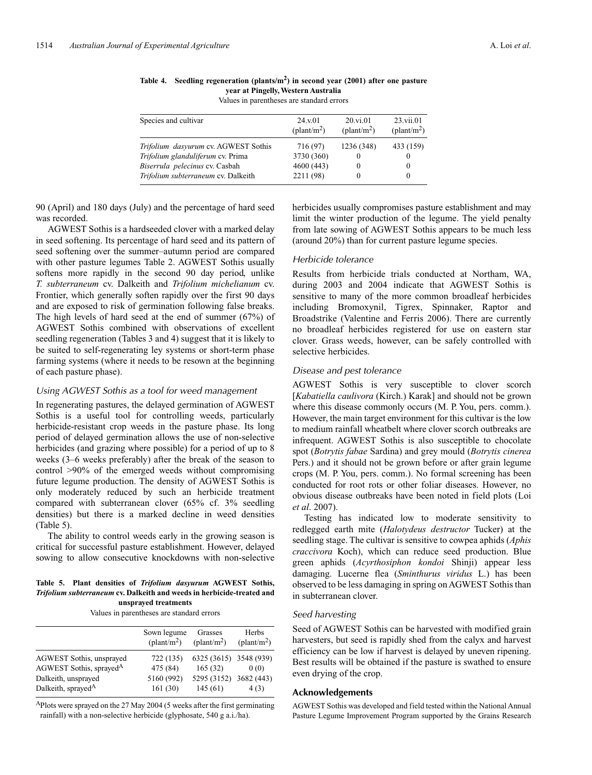| Species and cultivar                 | 24. v.01             | 20.vi.01             | $23.$ vii. $01$      |
|--------------------------------------|----------------------|----------------------|----------------------|
|                                      | $(\text{plant/m}^2)$ | $(\text{plant/m}^2)$ | $(\text{plant/m}^2)$ |
| Trifolium dasyurum cv. AGWEST Sothis | 716 (97)             | 1236 (348)           | 433 (159)            |
| Trifolium glanduliferum cv. Prima    | 3730 (360)           |                      | $\theta$             |
| Biserrula pelecinus cv. Casbah       | 4600 (443)           |                      | $\theta$             |
| Trifolium subterraneum cv. Dalkeith  | 2211 (98)            |                      | $\theta$             |

**Table 4. Seedling regeneration (plants/m2) in second year (2001) after one pasture year at Pingelly, Western Australia**

Values in parentheses are standard errors

90 (April) and 180 days (July) and the percentage of hard seed was recorded.

AGWEST Sothis is a hardseeded clover with a marked delay in seed softening. Its percentage of hard seed and its pattern of seed softening over the summer–autumn period are compared with other pasture legumes Table 2. AGWEST Sothis usually softens more rapidly in the second 90 day period, unlike *T. subterraneum* cv. Dalkeith and *Trifolium michelianum* cv. Frontier, which generally soften rapidly over the first 90 days and are exposed to risk of germination following false breaks. The high levels of hard seed at the end of summer (67%) of AGWEST Sothis combined with observations of excellent seedling regeneration (Tables 3 and 4) suggest that it is likely to be suited to self-regenerating ley systems or short-term phase farming systems (where it needs to be resown at the beginning of each pasture phase).

### *Using AGWEST Sothis as a tool for weed management*

In regenerating pastures, the delayed germination of AGWEST Sothis is a useful tool for controlling weeds, particularly herbicide-resistant crop weeds in the pasture phase. Its long period of delayed germination allows the use of non-selective herbicides (and grazing where possible) for a period of up to 8 weeks (3–6 weeks preferably) after the break of the season to control >90% of the emerged weeds without compromising future legume production. The density of AGWEST Sothis is only moderately reduced by such an herbicide treatment compared with subterranean clover (65% cf. 3% seedling densities) but there is a marked decline in weed densities (Table 5).

The ability to control weeds early in the growing season is critical for successful pasture establishment. However, delayed sowing to allow consecutive knockdowns with non-selective

#### **Table 5. Plant densities of** *Trifolium dasyurum* **AGWEST Sothis,** *Trifolium subterraneum* **cv. Dalkeith and weeds in herbicide-treated and unsprayed treatments**

Values in parentheses are standard errors

|                                     | Sown legume<br>$(\text{plant/m}^2)$ | Grasses<br>$(\text{plant/m}^2)$ | Herbs<br>$(\text{plant/m}^2)$ |
|-------------------------------------|-------------------------------------|---------------------------------|-------------------------------|
| AGWEST Sothis, unsprayed            | 722 (135)                           | 6325 (3615) 3548 (939)          |                               |
| AGWEST Sothis, sprayed <sup>A</sup> | 475 (84)                            | 165(32)                         | 0(0)                          |
| Dalkeith, unsprayed                 | 5160 (992)                          | 5295 (3152) 3682 (443)          |                               |
| Dalkeith, sprayed <sup>A</sup>      | 161(30)                             | 145(61)                         | 4(3)                          |

APlots were sprayed on the 27 May 2004 (5 weeks after the first germinating rainfall) with a non-selective herbicide (glyphosate, 540 g a.i./ha).

herbicides usually compromises pasture establishment and may limit the winter production of the legume. The yield penalty from late sowing of AGWEST Sothis appears to be much less (around 20%) than for current pasture legume species.

# *Herbicide tolerance*

Results from herbicide trials conducted at Northam, WA, during 2003 and 2004 indicate that AGWEST Sothis is sensitive to many of the more common broadleaf herbicides including Bromoxynil, Tigrex, Spinnaker, Raptor and Broadstrike (Valentine and Ferris 2006). There are currently no broadleaf herbicides registered for use on eastern star clover. Grass weeds, however, can be safely controlled with selective herbicides.

## *Disease and pest tolerance*

AGWEST Sothis is very susceptible to clover scorch [*Kabatiella caulivora* (Kirch.) Karak] and should not be grown where this disease commonly occurs (M. P. You, pers. comm.). However, the main target environment for this cultivar is the low to medium rainfall wheatbelt where clover scorch outbreaks are infrequent. AGWEST Sothis is also susceptible to chocolate spot (*Botrytis fabae* Sardina) and grey mould (*Botrytis cinerea* Pers.) and it should not be grown before or after grain legume crops (M. P. You, pers. comm.). No formal screening has been conducted for root rots or other foliar diseases. However, no obvious disease outbreaks have been noted in field plots (Loi *et al*. 2007).

Testing has indicated low to moderate sensitivity to redlegged earth mite (*Halotydeus destructor* Tucker) at the seedling stage. The cultivar is sensitive to cowpea aphids (*Aphis craccivora* Koch), which can reduce seed production. Blue green aphids (*Acyrthosiphon kondoi* Shinji) appear less damaging. Lucerne flea (*Sminthurus viridus* L.) has been observed to be less damaging in spring on AGWEST Sothis than in subterranean clover.

#### *Seed harvesting*

Seed of AGWEST Sothis can be harvested with modified grain harvesters, but seed is rapidly shed from the calyx and harvest efficiency can be low if harvest is delayed by uneven ripening. Best results will be obtained if the pasture is swathed to ensure even drying of the crop.

# **Acknowledgements**

AGWEST Sothis was developed and field tested within the National Annual Pasture Legume Improvement Program supported by the Grains Research